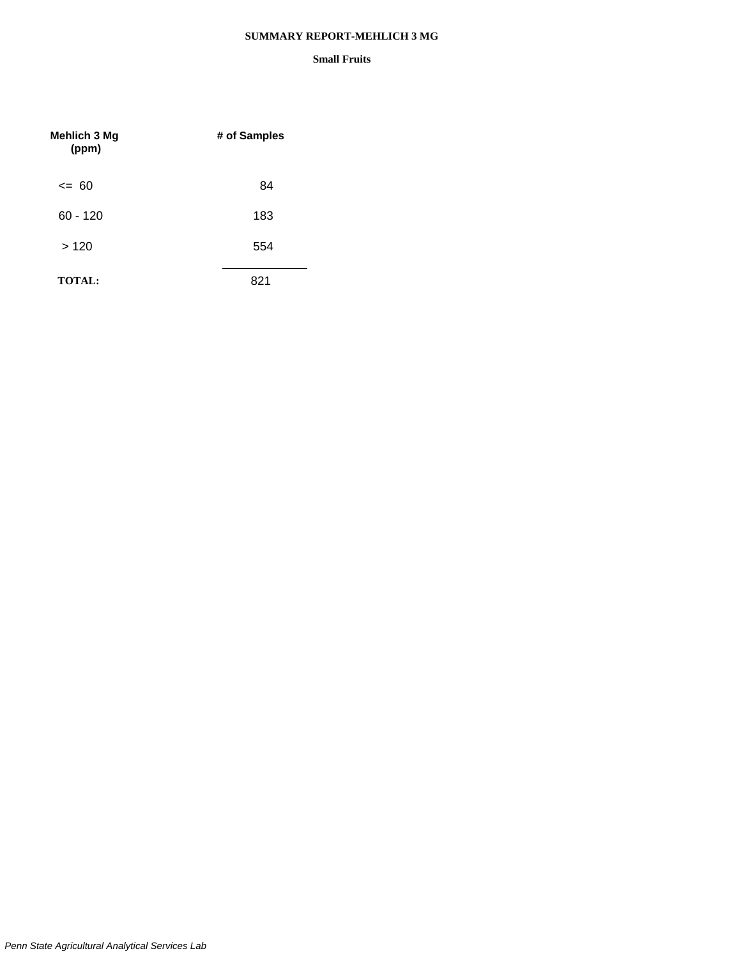### **SUMMARY REPORT-MEHLICH 3 MG**

| <b>Mehlich 3 Mg</b><br>(ppm) | # of Samples |
|------------------------------|--------------|
| $\leq$ 60                    | 84           |
| $60 - 120$                   | 183          |
| >120                         | 554          |
| <b>TOTAL:</b>                | 821          |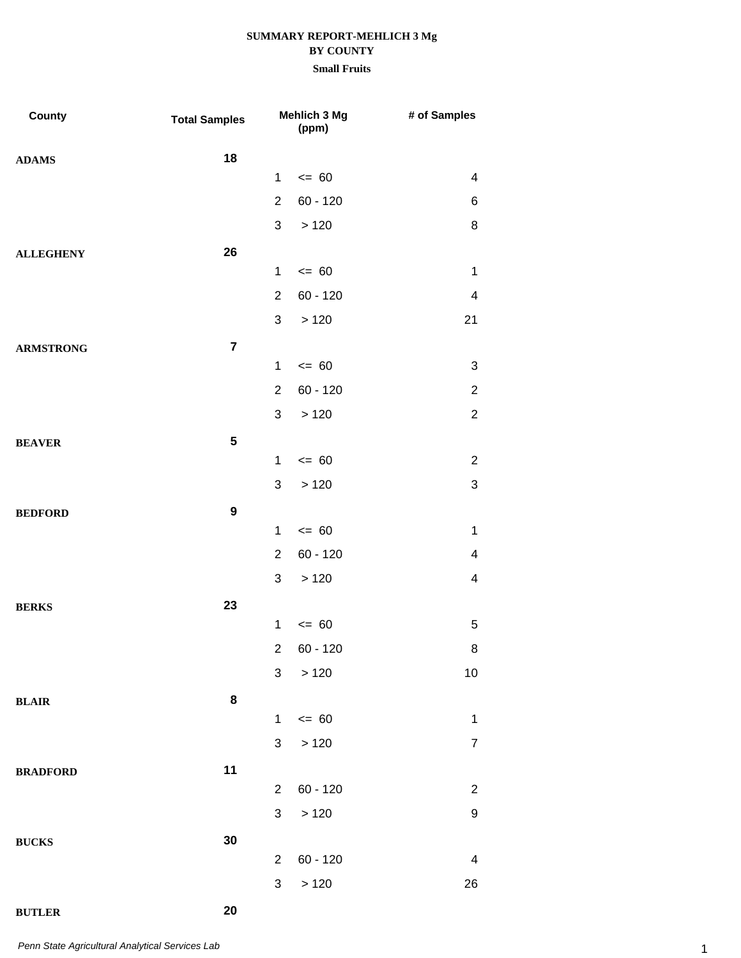### **Small Fruits**

| County           | <b>Total Samples</b> |                           | Mehlich 3 Mg<br>(ppm) | # of Samples            |
|------------------|----------------------|---------------------------|-----------------------|-------------------------|
| <b>ADAMS</b>     | 18                   |                           |                       |                         |
|                  |                      | $\mathbf{1}$              | $\leq 60$             | 4                       |
|                  |                      | $\overline{2}$            | $60 - 120$            | 6                       |
|                  |                      | $\mathfrak{S}$            | >120                  | 8                       |
| <b>ALLEGHENY</b> | 26                   |                           |                       |                         |
|                  |                      | $\mathbf 1$               | $= 60$                | $\mathbf 1$             |
|                  |                      | $\overline{2}$            | $60 - 120$            | $\overline{\mathbf{4}}$ |
|                  |                      | 3                         | >120                  | 21                      |
| <b>ARMSTRONG</b> | $\overline{7}$       |                           |                       |                         |
|                  |                      | 1                         | $= 60$                | 3                       |
|                  |                      | $\overline{2}$            | $60 - 120$            | $\overline{c}$          |
|                  |                      | 3                         | >120                  | $\overline{2}$          |
| <b>BEAVER</b>    | 5                    |                           |                       |                         |
|                  |                      | 1                         | $= 60$                | $\overline{2}$          |
|                  |                      | 3                         | >120                  | 3                       |
| <b>BEDFORD</b>   | $\boldsymbol{9}$     |                           |                       |                         |
|                  |                      | $\mathbf{1}$              | $= 60$                | $\mathbf 1$             |
|                  |                      | $\overline{2}$            | $60 - 120$            | 4                       |
|                  |                      | 3                         | >120                  | $\overline{\mathbf{4}}$ |
| <b>BERKS</b>     | 23                   |                           |                       |                         |
|                  |                      | $\mathbf{1}$              | $= 60$                | 5                       |
|                  |                      |                           | 2 60 - 120            | 8                       |
|                  |                      | 3                         | >120                  | 10 <sub>1</sub>         |
| <b>BLAIR</b>     | 8                    |                           |                       |                         |
|                  |                      | $\mathbf{1}$              | $\leq$ 60             | $\mathbf 1$             |
|                  |                      | $\ensuremath{\mathsf{3}}$ | >120                  | $\boldsymbol{7}$        |
| <b>BRADFORD</b>  | 11                   |                           |                       |                         |
|                  |                      | $\overline{2}$            | $60 - 120$            | $\overline{c}$          |
|                  |                      | $\mathfrak{S}$            | $>120$                | $\boldsymbol{9}$        |
| <b>BUCKS</b>     | 30                   |                           |                       |                         |
|                  |                      | $\overline{2}$            | $60 - 120$            | $\overline{4}$          |
|                  |                      | 3                         | $>120$                | 26                      |
| <b>BUTLER</b>    | 20                   |                           |                       |                         |

1 *Penn State Agricultural Analytical Services Lab*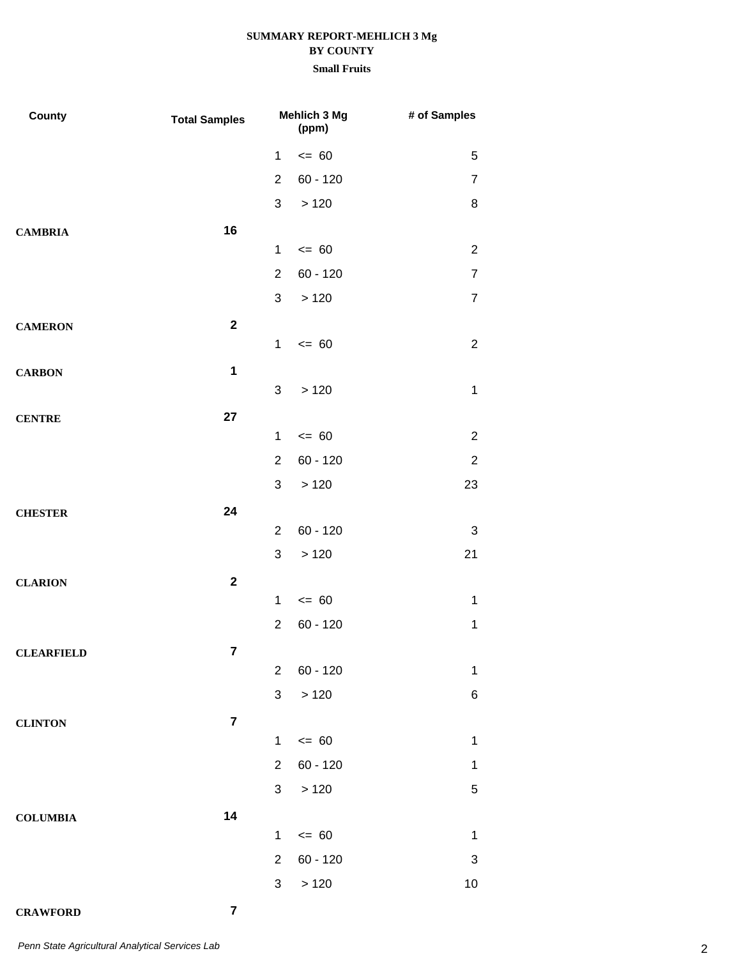### **Small Fruits**

| County            | <b>Total Samples</b> |                  | Mehlich 3 Mg<br>(ppm) | # of Samples   |
|-------------------|----------------------|------------------|-----------------------|----------------|
|                   |                      | $\mathbf{1}$     | $= 60$                | 5              |
|                   |                      | $\overline{2}$   | $60 - 120$            | $\overline{7}$ |
|                   |                      | 3                | >120                  | 8              |
| <b>CAMBRIA</b>    | 16                   |                  |                       |                |
|                   |                      | $\mathbf{1}$     | $= 60$                | $\overline{2}$ |
|                   |                      | $\overline{2}$   | $60 - 120$            | $\overline{7}$ |
|                   |                      | 3                | >120                  | $\overline{7}$ |
| <b>CAMERON</b>    | $\mathbf 2$          |                  |                       |                |
|                   |                      | $\mathbf{1}$     | $= 60$                | $\overline{2}$ |
| <b>CARBON</b>     | $\mathbf 1$          |                  |                       |                |
|                   |                      | 3                | >120                  | $\mathbf{1}$   |
| <b>CENTRE</b>     | 27                   |                  |                       |                |
|                   |                      | $\mathbf 1$      | $= 60$                | $\overline{2}$ |
|                   |                      | $\overline{2}$   | $60 - 120$            | $\overline{2}$ |
|                   |                      | 3                | >120                  | 23             |
| <b>CHESTER</b>    | 24                   |                  |                       |                |
|                   |                      | $\overline{2}$   | $60 - 120$            | 3              |
|                   |                      | 3                | >120                  | 21             |
| <b>CLARION</b>    | $\mathbf{2}$         |                  |                       |                |
|                   |                      | $\mathbf{1}$     | $= 60$                | $\mathbf{1}$   |
|                   |                      | $\boldsymbol{2}$ | $60 - 120$            | $\mathbf{1}$   |
| <b>CLEARFIELD</b> | $\overline{7}$       | $\overline{2}$   | $60 - 120$            | $\mathbf 1$    |
|                   |                      | $\mathfrak{S}$   | $>120$                | 6              |
|                   |                      |                  |                       |                |
| <b>CLINTON</b>    | $\overline{7}$       | $\mathbf{1}$     | $\leq$ 60             | $\mathbf 1$    |
|                   |                      | $\overline{2}$   | $60 - 120$            | 1              |
|                   |                      | 3 <sup>1</sup>   | > 120                 | $\mathbf 5$    |
|                   | 14                   |                  |                       |                |
| <b>COLUMBIA</b>   |                      | $\mathbf{1}$     | $\leq$ 60             | $\mathbf 1$    |
|                   |                      | $\overline{2}$   | $60 - 120$            | 3              |
|                   |                      | $\mathfrak{S}$   | $>120$                | $10$           |
|                   |                      |                  |                       |                |

### **CRAWFORD 7**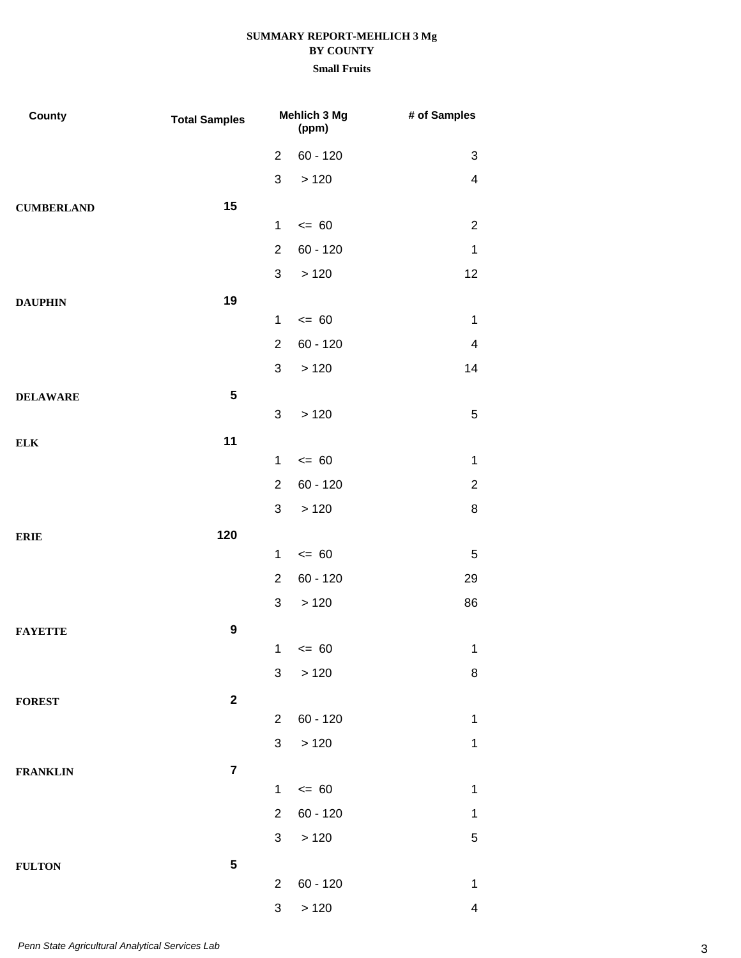| County            | <b>Total Samples</b> | <b>Mehlich 3 Mg</b><br>(ppm) |            | # of Samples            |
|-------------------|----------------------|------------------------------|------------|-------------------------|
|                   |                      | $\overline{2}$               | $60 - 120$ | 3                       |
|                   |                      | $\mathfrak{S}$               | >120       | $\overline{4}$          |
| <b>CUMBERLAND</b> | 15                   |                              |            |                         |
|                   |                      | $\mathbf{1}$                 | $= 60$     | $\overline{2}$          |
|                   |                      | $\overline{2}$               | $60 - 120$ | 1                       |
|                   |                      | $\mathfrak{S}$               | >120       | 12                      |
| <b>DAUPHIN</b>    | 19                   |                              |            |                         |
|                   |                      | $\mathbf{1}$                 | $= 60$     | $\mathbf 1$             |
|                   |                      | $\overline{2}$               | $60 - 120$ | $\overline{\mathbf{4}}$ |
|                   |                      | $\mathfrak{S}$               | >120       | 14                      |
| <b>DELAWARE</b>   | 5                    |                              |            |                         |
|                   |                      | 3                            | >120       | $\sqrt{5}$              |
| ${\bf ELK}$       | 11                   | $\mathbf{1}$                 | $= 60$     | $\mathbf 1$             |
|                   |                      | $\overline{2}$               | $60 - 120$ | $\overline{c}$          |
|                   |                      | 3                            | >120       | 8                       |
|                   |                      |                              |            |                         |
| <b>ERIE</b>       | 120                  | $\mathbf{1}$                 | $= 60$     | 5                       |
|                   |                      | $\overline{2}$               | $60 - 120$ | 29                      |
|                   |                      | 3                            | >120       | 86                      |
| <b>FAYETTE</b>    | $\boldsymbol{9}$     |                              |            |                         |
|                   |                      |                              | $1 \le 60$ | $\mathbf{1}$            |
|                   |                      | 3                            | >120       | 8                       |
| <b>FOREST</b>     | $\mathbf 2$          |                              |            |                         |
|                   |                      | $\overline{2}$               | $60 - 120$ | $\mathbf 1$             |
|                   |                      | 3 <sup>1</sup>               | >120       | $\mathbf 1$             |
| <b>FRANKLIN</b>   | $\overline{7}$       |                              |            |                         |
|                   |                      | $\mathbf{1}$                 | $\leq$ 60  | $\mathbf 1$             |
|                   |                      | $\overline{2}$               | $60 - 120$ | 1                       |
|                   |                      | 3 <sup>1</sup>               | >120       | $\mathbf 5$             |
| <b>FULTON</b>     | 5                    |                              |            |                         |
|                   |                      | $\overline{2}$               | $60 - 120$ | $\mathbf{1}$            |
|                   |                      | $\sqrt{3}$                   | >120       | $\overline{4}$          |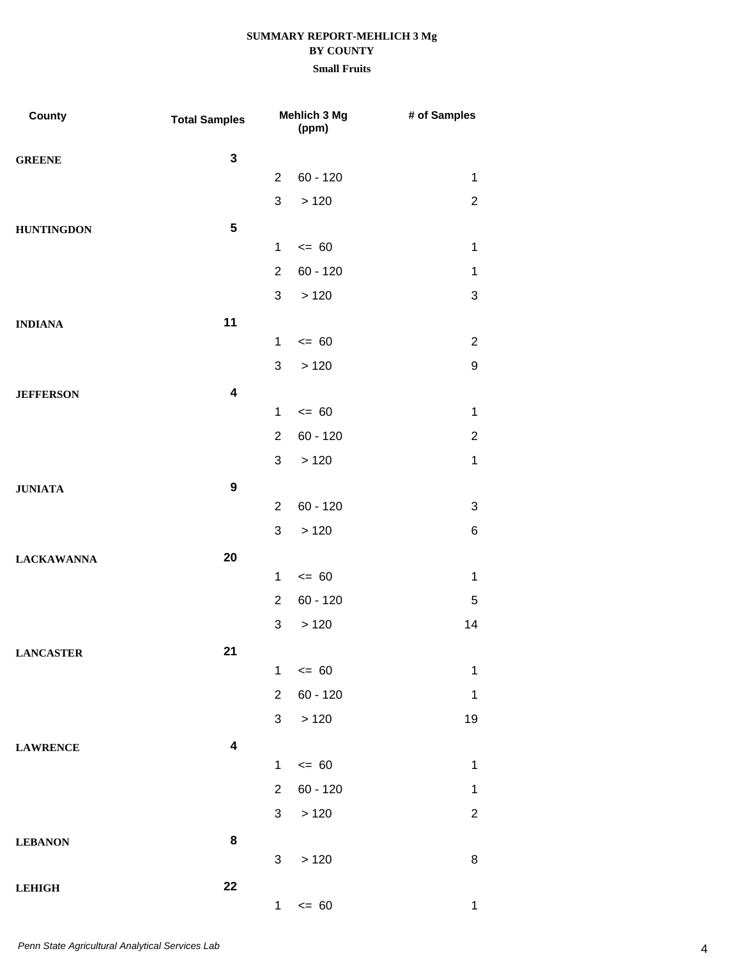| County            | <b>Total Samples</b>    |                | Mehlich 3 Mg<br>(ppm) | # of Samples              |
|-------------------|-------------------------|----------------|-----------------------|---------------------------|
| <b>GREENE</b>     | $\mathbf{3}$            |                |                       |                           |
|                   |                         | $\overline{2}$ | $60 - 120$            | $\mathbf 1$               |
|                   |                         | 3              | >120                  | $\overline{2}$            |
| <b>HUNTINGDON</b> | $5\phantom{.0}$         |                |                       |                           |
|                   |                         | $\mathbf{1}$   | $= 60$                | $\mathbf 1$               |
|                   |                         | $\overline{2}$ | $60 - 120$            | $\mathbf 1$               |
|                   |                         | 3              | >120                  | $\ensuremath{\mathsf{3}}$ |
| <b>INDIANA</b>    | 11                      |                |                       |                           |
|                   |                         | $\mathbf 1$    | $= 60$                | $\overline{2}$            |
|                   |                         | 3              | >120                  | 9                         |
| <b>JEFFERSON</b>  | $\overline{\mathbf{4}}$ |                |                       |                           |
|                   |                         | $\mathbf{1}$   | $= 60$                | $\mathbf 1$               |
|                   |                         | $\overline{2}$ | $60 - 120$            | $\overline{2}$            |
|                   |                         | 3              | >120                  | $\mathbf 1$               |
| <b>JUNIATA</b>    | $\boldsymbol{9}$        |                |                       |                           |
|                   |                         | $\overline{2}$ | $60 - 120$            | 3                         |
|                   |                         | 3              | >120                  | 6                         |
| <b>LACKAWANNA</b> | 20                      |                |                       |                           |
|                   |                         | $\mathbf{1}$   | $= 60$                | $\mathbf 1$               |
|                   |                         | $\overline{2}$ | $60 - 120$            | 5                         |
|                   |                         | 3              | >120                  | 14                        |
| <b>LANCASTER</b>  | 21                      |                |                       |                           |
|                   |                         | $\mathbf{1}$   | $\leq$ 60             | $\mathbf 1$               |
|                   |                         | $\overline{2}$ | $60 - 120$            | $\mathbf{1}$              |
|                   |                         | 3              | $>120$                | 19                        |
| <b>LAWRENCE</b>   | $\overline{\mathbf{4}}$ |                |                       |                           |
|                   |                         | $\mathbf{1}$   | $= 60$                | $\mathbf 1$               |
|                   |                         | $\overline{2}$ | $60 - 120$            | $\mathbf 1$               |
|                   |                         | 3 <sup>1</sup> | >120                  | $\overline{c}$            |
| <b>LEBANON</b>    | 8                       |                |                       |                           |
|                   |                         | 3              | >120                  | 8                         |
| <b>LEHIGH</b>     | 22                      |                |                       |                           |
|                   |                         | $1 -$          | $= 60$                | $\mathbf{1}$              |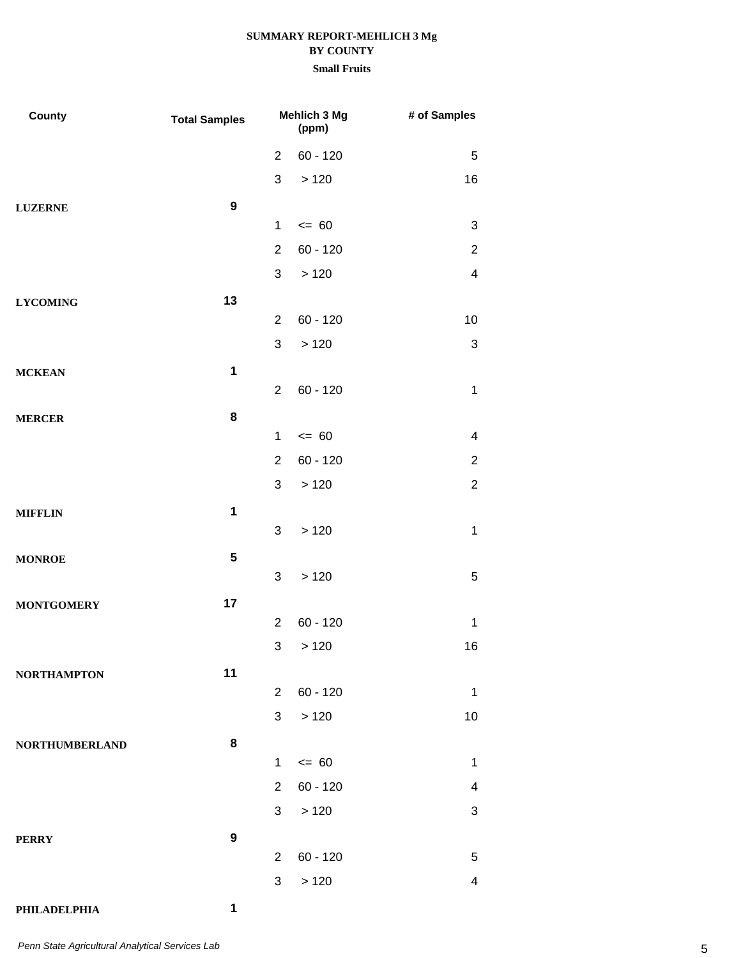| County                | <b>Total Samples</b> |                | Mehlich 3 Mg<br>(ppm) | # of Samples   |
|-----------------------|----------------------|----------------|-----------------------|----------------|
|                       |                      | 2              | $60 - 120$            | 5              |
|                       |                      | 3              | >120                  | 16             |
| <b>LUZERNE</b>        | $\boldsymbol{9}$     |                |                       |                |
|                       |                      | $\mathbf{1}$   | $= 60$                | 3              |
|                       |                      | $\overline{2}$ | $60 - 120$            | $\overline{2}$ |
|                       |                      | 3              | >120                  | $\overline{4}$ |
| <b>LYCOMING</b>       | 13                   |                |                       |                |
|                       |                      | $\overline{2}$ | $60 - 120$            | 10             |
|                       |                      | $\mathfrak{S}$ | >120                  | $\sqrt{3}$     |
| <b>MCKEAN</b>         | $\mathbf 1$          |                |                       |                |
|                       |                      | $\overline{2}$ | $60 - 120$            | $\mathbf 1$    |
| <b>MERCER</b>         | 8                    |                |                       |                |
|                       |                      | $\mathbf{1}$   | $= 60$                | $\overline{4}$ |
|                       |                      | $\overline{2}$ | $60 - 120$            | $\overline{2}$ |
|                       |                      | $\mathfrak{S}$ | >120                  | $\sqrt{2}$     |
| <b>MIFFLIN</b>        | $\mathbf 1$          |                |                       |                |
|                       |                      | $\mathfrak{S}$ | >120                  | 1              |
| <b>MONROE</b>         | ${\bf 5}$            | 3              | >120                  | $\mathbf 5$    |
|                       |                      |                |                       |                |
| <b>MONTGOMERY</b>     | 17                   | $\overline{2}$ | $60 - 120$            | $\mathbf 1$    |
|                       |                      | $\sqrt{3}$     | >120                  | 16             |
|                       | 11                   |                |                       |                |
| <b>NORTHAMPTON</b>    |                      | $\overline{2}$ | $60 - 120$            | 1              |
|                       |                      | 3 <sup>1</sup> | >120                  | 10             |
| <b>NORTHUMBERLAND</b> | 8                    |                |                       |                |
|                       |                      | $\mathbf 1$    | $\leq 60$             | $\mathbf 1$    |
|                       |                      | $\overline{2}$ | $60 - 120$            | 4              |
|                       |                      | 3              | >120                  | 3              |
| <b>PERRY</b>          | 9                    |                |                       |                |
|                       |                      | 2              | $60 - 120$            | 5              |
|                       |                      | 3              | >120                  | 4              |
| PHILADELPHIA          | 1                    |                |                       |                |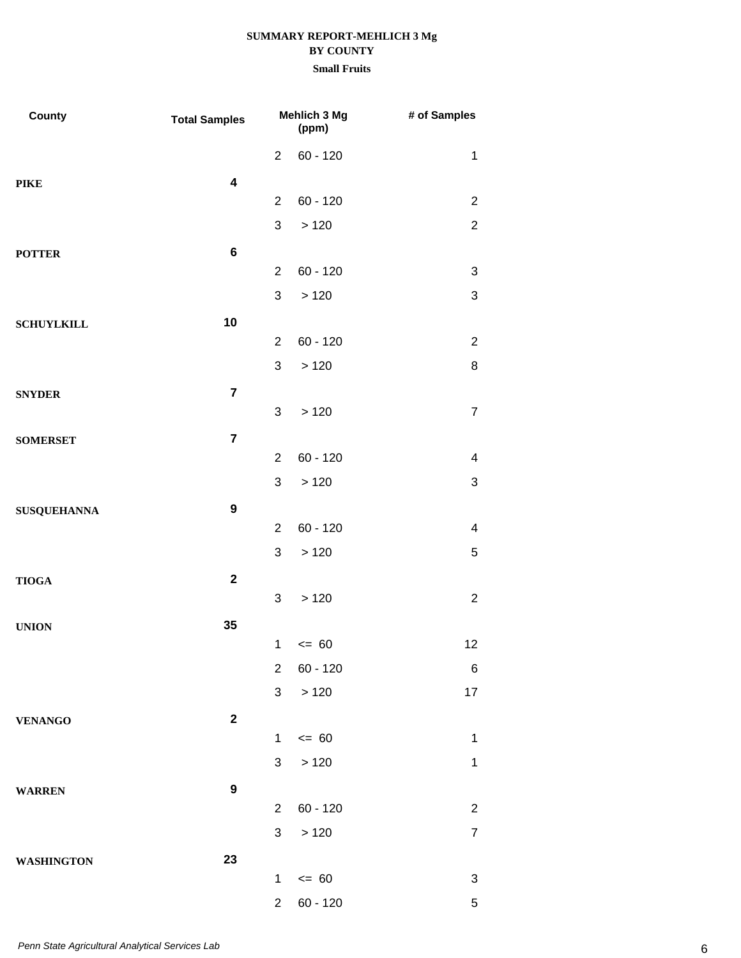| County             | <b>Total Samples</b>    | Mehlich 3 Mg<br>(ppm) |            | # of Samples              |
|--------------------|-------------------------|-----------------------|------------|---------------------------|
|                    |                         | $\overline{2}$        | $60 - 120$ | $\mathbf 1$               |
| <b>PIKE</b>        | $\overline{\mathbf{4}}$ |                       |            |                           |
|                    |                         | $\overline{2}$        | $60 - 120$ | $\overline{c}$            |
|                    |                         | $\mathfrak{S}$        | >120       | $\overline{2}$            |
| <b>POTTER</b>      | $\bf 6$                 |                       |            |                           |
|                    |                         | $\overline{2}$        | $60 - 120$ | 3                         |
|                    |                         | 3                     | >120       | $\ensuremath{\mathsf{3}}$ |
| <b>SCHUYLKILL</b>  | 10                      |                       |            |                           |
|                    |                         | 2                     | $60 - 120$ | $\overline{2}$            |
|                    |                         | $\mathfrak{S}$        | >120       | 8                         |
| <b>SNYDER</b>      | $\overline{7}$          |                       |            |                           |
|                    |                         | 3                     | >120       | $\overline{7}$            |
| <b>SOMERSET</b>    | $\overline{7}$          |                       |            |                           |
|                    |                         | 2                     | $60 - 120$ | $\overline{\mathcal{A}}$  |
|                    |                         | $\mathfrak{S}$        | >120       | 3                         |
| <b>SUSQUEHANNA</b> | $\boldsymbol{9}$        |                       |            |                           |
|                    |                         | $\overline{2}$        | $60 - 120$ | $\overline{\mathbf{4}}$   |
|                    |                         | 3                     | >120       | 5                         |
| <b>TIOGA</b>       | $\mathbf 2$             |                       |            |                           |
|                    |                         | 3                     | >120       | $\overline{2}$            |
| <b>UNION</b>       | 35                      |                       |            |                           |
|                    |                         | $\mathbf{1}$          | $= 60$     | 12                        |
|                    |                         | $\overline{2}$        | $60 - 120$ | 6                         |
|                    |                         | $\mathfrak{S}$        | >120       | 17                        |
| <b>VENANGO</b>     | $\overline{\mathbf{2}}$ |                       |            |                           |
|                    |                         | $\mathbf{1}$          | $\leq$ 60  | $\mathbf{1}$              |
|                    |                         | 3                     | >120       | $\mathbf{1}$              |
| <b>WARREN</b>      | $\boldsymbol{9}$        |                       |            |                           |
|                    |                         | $\overline{2}$        | $60 - 120$ | $\overline{c}$            |
|                    |                         | 3 <sup>1</sup>        | >120       | $\overline{7}$            |
| <b>WASHINGTON</b>  | 23                      | $\mathbf{1}$          | $\leq$ 60  | 3                         |
|                    |                         | $\overline{2}$        | $60 - 120$ | $\mathbf 5$               |
|                    |                         |                       |            |                           |